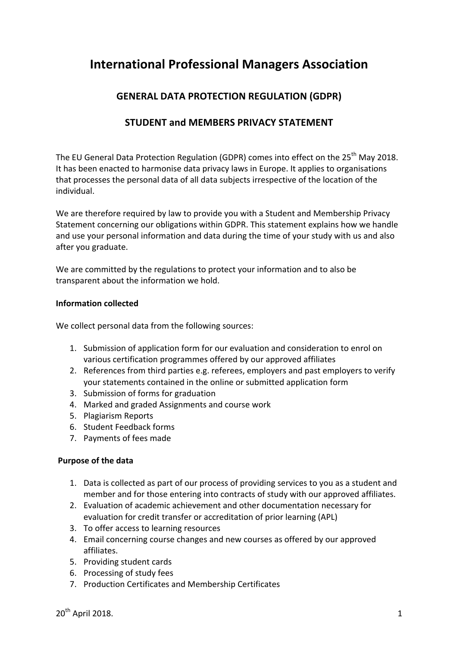# **International Professional Managers Association**

## **GENERAL DATA PROTECTION REGULATION (GDPR)**

### **STUDENT and MEMBERS PRIVACY STATEMENT**

The EU General Data Protection Regulation (GDPR) comes into effect on the 25<sup>th</sup> May 2018. It has been enacted to harmonise data privacy laws in Europe. It applies to organisations that processes the personal data of all data subjects irrespective of the location of the individual. 

We are therefore required by law to provide you with a Student and Membership Privacy Statement concerning our obligations within GDPR. This statement explains how we handle and use your personal information and data during the time of your study with us and also after you graduate.

We are committed by the regulations to protect your information and to also be transparent about the information we hold.

#### **Information collected**

We collect personal data from the following sources:

- 1. Submission of application form for our evaluation and consideration to enrol on various certification programmes offered by our approved affiliates
- 2. References from third parties e.g. referees, employers and past employers to verify your statements contained in the online or submitted application form
- 3. Submission of forms for graduation
- 4. Marked and graded Assignments and course work
- 5. Plagiarism Reports
- 6. Student Feedback forms
- 7. Payments of fees made

#### **Purpose of the data**

- 1. Data is collected as part of our process of providing services to you as a student and member and for those entering into contracts of study with our approved affiliates.
- 2. Evaluation of academic achievement and other documentation necessary for evaluation for credit transfer or accreditation of prior learning (APL)
- 3. To offer access to learning resources
- 4. Email concerning course changes and new courses as offered by our approved affiliates.
- 5. Providing student cards
- 6. Processing of study fees
- 7. Production Certificates and Membership Certificates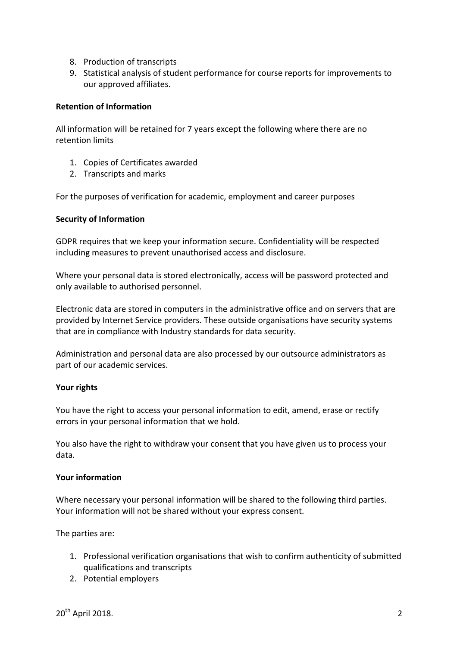- 8. Production of transcripts
- 9. Statistical analysis of student performance for course reports for improvements to our approved affiliates.

#### **Retention of Information**

All information will be retained for 7 years except the following where there are no retention limits

- 1. Copies of Certificates awarded
- 2. Transcripts and marks

For the purposes of verification for academic, employment and career purposes

#### **Security of Information**

GDPR requires that we keep your information secure. Confidentiality will be respected including measures to prevent unauthorised access and disclosure.

Where your personal data is stored electronically, access will be password protected and only available to authorised personnel.

Electronic data are stored in computers in the administrative office and on servers that are provided by Internet Service providers. These outside organisations have security systems that are in compliance with Industry standards for data security.

Administration and personal data are also processed by our outsource administrators as part of our academic services.

#### Your rights

You have the right to access your personal information to edit, amend, erase or rectify errors in your personal information that we hold.

You also have the right to withdraw your consent that you have given us to process your data. 

#### **Your information**

Where necessary your personal information will be shared to the following third parties. Your information will not be shared without your express consent.

The parties are:

- 1. Professional verification organisations that wish to confirm authenticity of submitted qualifications and transcripts
- 2. Potential employers